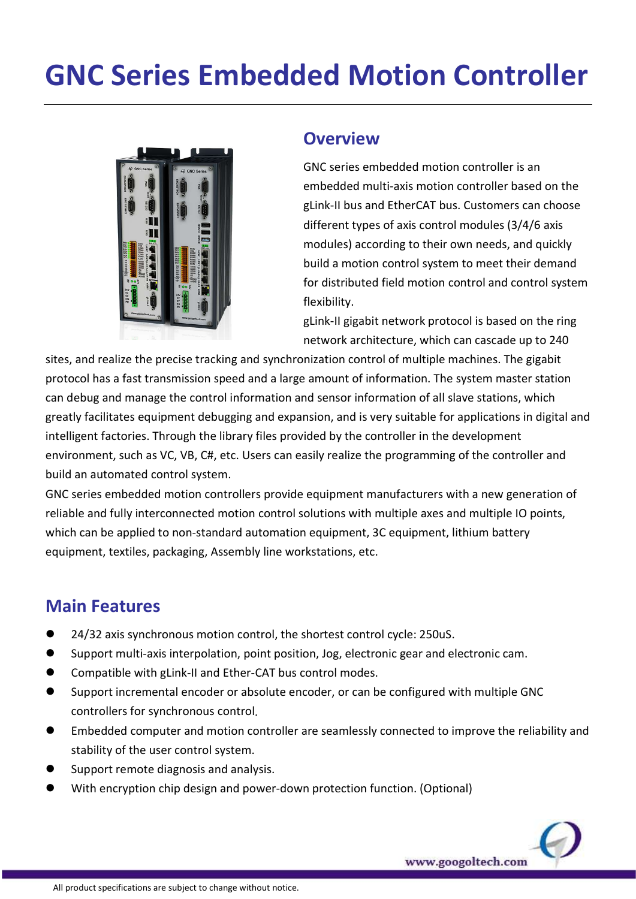# GNC Series Embedded Motion Controller



#### **Overview**

GNC series embedded motion controller is an embedded multi-axis motion controller based on the gLink-II bus and EtherCAT bus. Customers can choose different types of axis control modules (3/4/6 axis modules) according to their own needs, and quickly build a motion control system to meet their demand for distributed field motion control and control system flexibility.

gLink-II gigabit network protocol is based on the ring network architecture, which can cascade up to 240

www.googoltech.com

sites, and realize the precise tracking and synchronization control of multiple machines. The gigabit protocol has a fast transmission speed and a large amount of information. The system master station can debug and manage the control information and sensor information of all slave stations, which greatly facilitates equipment debugging and expansion, and is very suitable for applications in digital and intelligent factories. Through the library files provided by the controller in the development environment, such as VC, VB, C#, etc. Users can easily realize the programming of the controller and build an automated control system.

GNC series embedded motion controllers provide equipment manufacturers with a new generation of reliable and fully interconnected motion control solutions with multiple axes and multiple IO points, which can be applied to non-standard automation equipment, 3C equipment, lithium battery equipment, textiles, packaging, Assembly line workstations, etc.

#### Main Features

- 24/32 axis synchronous motion control, the shortest control cycle: 250uS.
- Support multi-axis interpolation, point position, Jog, electronic gear and electronic cam.
- Compatible with gLink-II and Ether-CAT bus control modes.
- Support incremental encoder or absolute encoder, or can be configured with multiple GNC controllers for synchronous control.
- Embedded computer and motion controller are seamlessly connected to improve the reliability and stability of the user control system.
- Support remote diagnosis and analysis.
- With encryption chip design and power-down protection function. (Optional)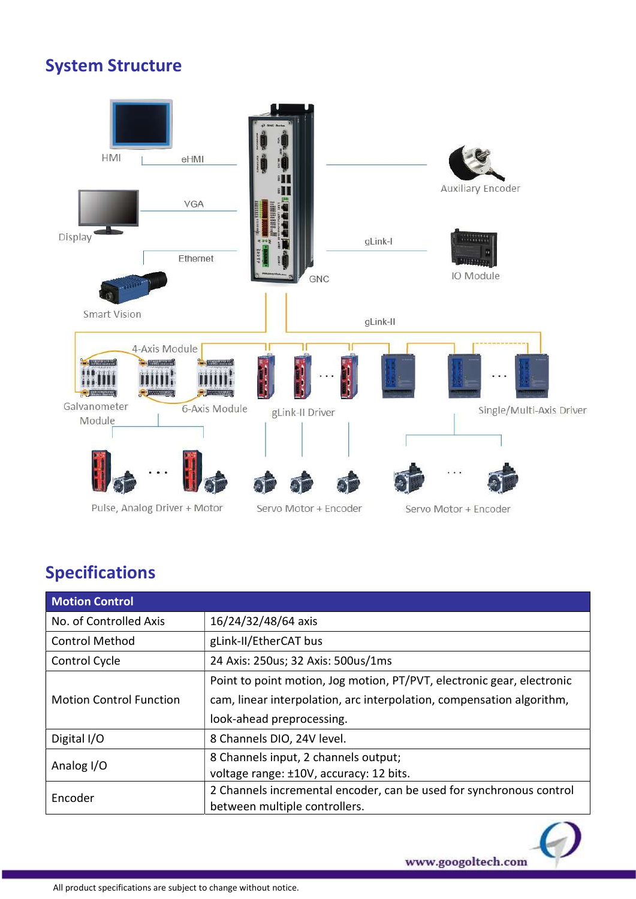#### System Structure



### Specifications

| <b>Motion Control</b>          |                                                                        |  |
|--------------------------------|------------------------------------------------------------------------|--|
| No. of Controlled Axis         | 16/24/32/48/64 axis                                                    |  |
| <b>Control Method</b>          | gLink-II/EtherCAT bus                                                  |  |
| Control Cycle                  | 24 Axis: 250us; 32 Axis: 500us/1ms                                     |  |
|                                | Point to point motion, Jog motion, PT/PVT, electronic gear, electronic |  |
| <b>Motion Control Function</b> | cam, linear interpolation, arc interpolation, compensation algorithm,  |  |
|                                | look-ahead preprocessing.                                              |  |
| Digital I/O                    | 8 Channels DIO, 24V level.                                             |  |
| Analog I/O                     | 8 Channels input, 2 channels output;                                   |  |
|                                | voltage range: ±10V, accuracy: 12 bits.                                |  |
| Encoder                        | 2 Channels incremental encoder, can be used for synchronous control    |  |
|                                | between multiple controllers.                                          |  |

www.googoltech.com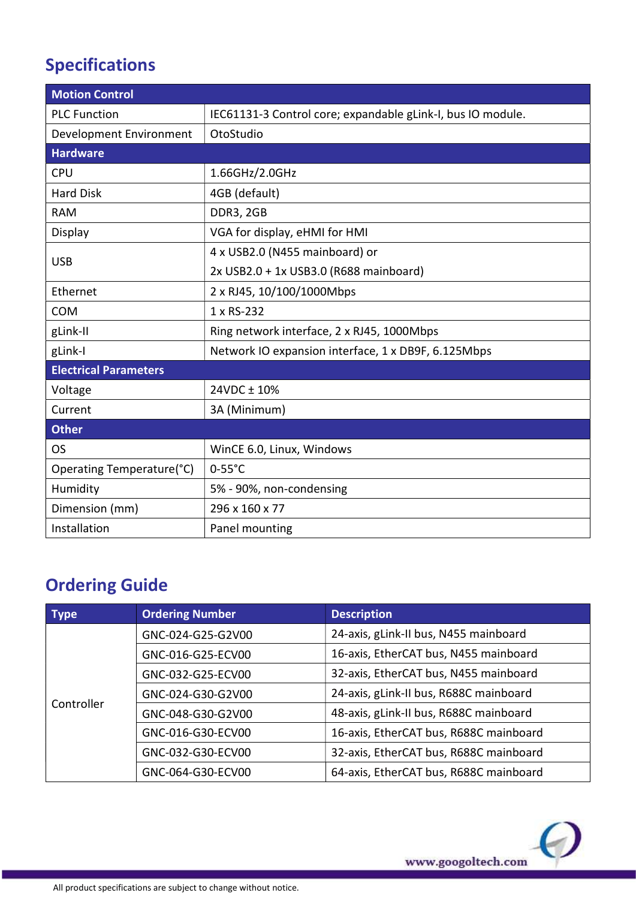## Specifications

| <b>Motion Control</b>        |                                                             |  |  |  |
|------------------------------|-------------------------------------------------------------|--|--|--|
| <b>PLC Function</b>          | IEC61131-3 Control core; expandable gLink-I, bus IO module. |  |  |  |
| Development Environment      | OtoStudio                                                   |  |  |  |
| <b>Hardware</b>              |                                                             |  |  |  |
| <b>CPU</b>                   | 1.66GHz/2.0GHz                                              |  |  |  |
| <b>Hard Disk</b>             | 4GB (default)                                               |  |  |  |
| <b>RAM</b>                   | DDR3, 2GB                                                   |  |  |  |
| Display                      | VGA for display, eHMI for HMI                               |  |  |  |
| <b>USB</b>                   | 4 x USB2.0 (N455 mainboard) or                              |  |  |  |
|                              | 2x USB2.0 + 1x USB3.0 (R688 mainboard)                      |  |  |  |
| Ethernet                     | 2 x RJ45, 10/100/1000Mbps                                   |  |  |  |
| <b>COM</b>                   | 1 x RS-232                                                  |  |  |  |
| gLink-II                     | Ring network interface, 2 x RJ45, 1000Mbps                  |  |  |  |
| gLink-I                      | Network IO expansion interface, 1 x DB9F, 6.125Mbps         |  |  |  |
| <b>Electrical Parameters</b> |                                                             |  |  |  |
| Voltage                      | 24VDC ± 10%                                                 |  |  |  |
| Current                      | 3A (Minimum)                                                |  |  |  |
| <b>Other</b>                 |                                                             |  |  |  |
| <b>OS</b>                    | WinCE 6.0, Linux, Windows                                   |  |  |  |
| Operating Temperature(°C)    | $0-55^{\circ}C$                                             |  |  |  |
| Humidity                     | 5% - 90%, non-condensing                                    |  |  |  |
| Dimension (mm)               | 296 x 160 x 77                                              |  |  |  |
| Installation                 | Panel mounting                                              |  |  |  |

## Ordering Guide

| Type       | <b>Ordering Number</b> | <b>Description</b>                     |
|------------|------------------------|----------------------------------------|
| Controller | GNC-024-G25-G2V00      | 24-axis, gLink-II bus, N455 mainboard  |
|            | GNC-016-G25-ECV00      | 16-axis, EtherCAT bus, N455 mainboard  |
|            | GNC-032-G25-ECV00      | 32-axis, EtherCAT bus, N455 mainboard  |
|            | GNC-024-G30-G2V00      | 24-axis, gLink-II bus, R688C mainboard |
|            | GNC-048-G30-G2V00      | 48-axis, gLink-II bus, R688C mainboard |
|            | GNC-016-G30-ECV00      | 16-axis, EtherCAT bus, R688C mainboard |
|            | GNC-032-G30-ECV00      | 32-axis, EtherCAT bus, R688C mainboard |
|            | GNC-064-G30-ECV00      | 64-axis, EtherCAT bus, R688C mainboard |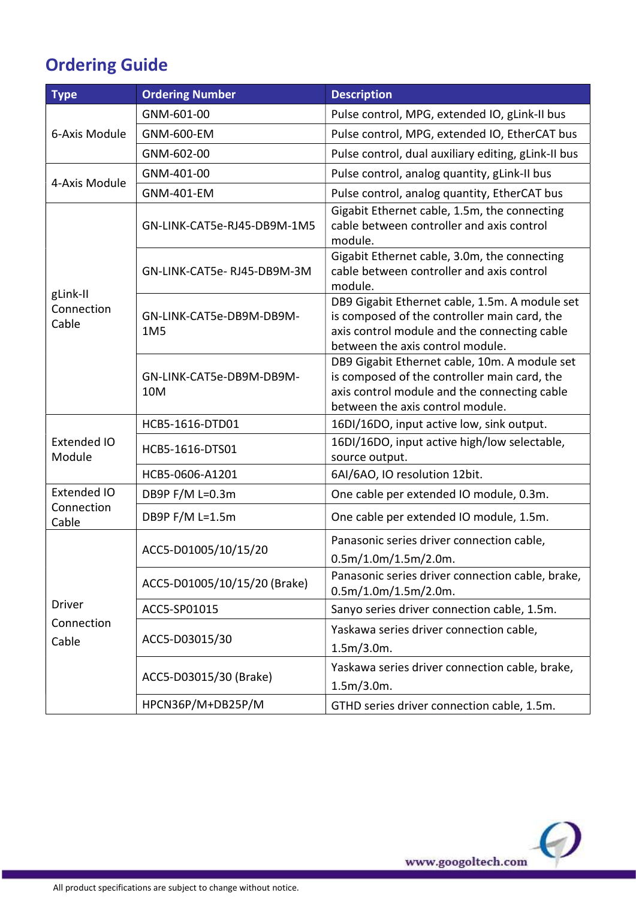## Ordering Guide

| <b>Type</b>                               | <b>Ordering Number</b>          | <b>Description</b>                                                                                                                                                                 |
|-------------------------------------------|---------------------------------|------------------------------------------------------------------------------------------------------------------------------------------------------------------------------------|
| 6-Axis Module                             | GNM-601-00                      | Pulse control, MPG, extended IO, gLink-II bus                                                                                                                                      |
|                                           | <b>GNM-600-EM</b>               | Pulse control, MPG, extended IO, EtherCAT bus                                                                                                                                      |
|                                           | GNM-602-00                      | Pulse control, dual auxiliary editing, gLink-II bus                                                                                                                                |
| 4-Axis Module                             | GNM-401-00                      | Pulse control, analog quantity, gLink-II bus                                                                                                                                       |
|                                           | <b>GNM-401-EM</b>               | Pulse control, analog quantity, EtherCAT bus                                                                                                                                       |
| gLink-II<br>Connection<br>Cable           | GN-LINK-CAT5e-RJ45-DB9M-1M5     | Gigabit Ethernet cable, 1.5m, the connecting<br>cable between controller and axis control<br>module.                                                                               |
|                                           | GN-LINK-CAT5e-RJ45-DB9M-3M      | Gigabit Ethernet cable, 3.0m, the connecting<br>cable between controller and axis control<br>module.                                                                               |
|                                           | GN-LINK-CAT5e-DB9M-DB9M-<br>1M5 | DB9 Gigabit Ethernet cable, 1.5m. A module set<br>is composed of the controller main card, the<br>axis control module and the connecting cable<br>between the axis control module. |
|                                           | GN-LINK-CAT5e-DB9M-DB9M-<br>10M | DB9 Gigabit Ethernet cable, 10m. A module set<br>is composed of the controller main card, the<br>axis control module and the connecting cable<br>between the axis control module.  |
| Extended IO<br>Module                     | HCB5-1616-DTD01                 | 16DI/16DO, input active low, sink output.                                                                                                                                          |
|                                           | HCB5-1616-DTS01                 | 16DI/16DO, input active high/low selectable,<br>source output.                                                                                                                     |
|                                           | HCB5-0606-A1201                 | 6AI/6AO, IO resolution 12bit.                                                                                                                                                      |
| <b>Extended IO</b><br>Connection<br>Cable | DB9P F/M L=0.3m                 | One cable per extended IO module, 0.3m.                                                                                                                                            |
|                                           | DB9P F/M L=1.5m                 | One cable per extended IO module, 1.5m.                                                                                                                                            |
| <b>Driver</b><br>Connection<br>Cable      | ACC5-D01005/10/15/20            | Panasonic series driver connection cable,<br>$0.5m/1.0m/1.5m/2.0m$ .                                                                                                               |
|                                           | ACC5-D01005/10/15/20 (Brake)    | Panasonic series driver connection cable, brake,<br>$0.5m/1.0m/1.5m/2.0m$ .                                                                                                        |
|                                           | ACC5-SP01015                    | Sanyo series driver connection cable, 1.5m.                                                                                                                                        |
|                                           | ACC5-D03015/30                  | Yaskawa series driver connection cable,<br>$1.5m/3.0m$ .                                                                                                                           |
|                                           | ACC5-D03015/30 (Brake)          | Yaskawa series driver connection cable, brake,<br>$1.5m/3.0m$ .                                                                                                                    |
|                                           | HPCN36P/M+DB25P/M               | GTHD series driver connection cable, 1.5m.                                                                                                                                         |